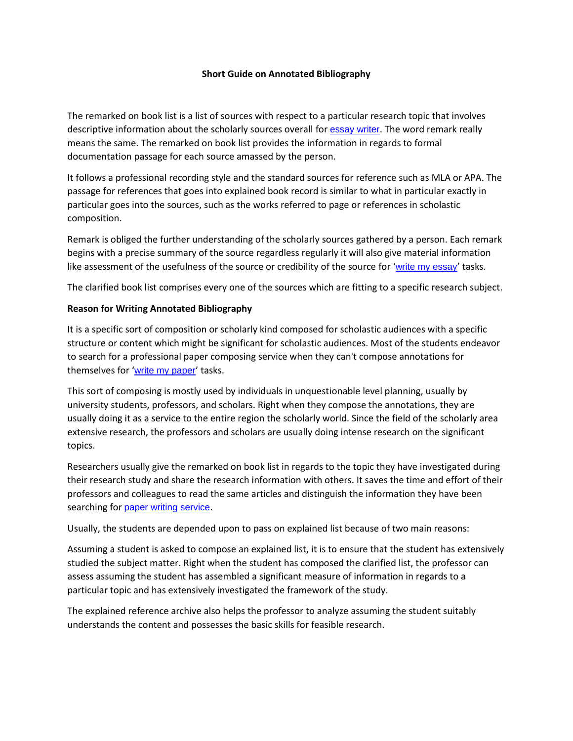## **Short Guide on Annotated Bibliography**

The remarked on book list is a list of sources with respect to a particular research topic that involves descriptive information about the scholarly sources overall for **[essay writer](https://www.myperfectpaper.net/)**. The word remark really means the same. The remarked on book list provides the information in regards to formal documentation passage for each source amassed by the person.

It follows a professional recording style and the standard sources for reference such as MLA or APA. The passage for references that goes into explained book record is similar to what in particular exactly in particular goes into the sources, such as the works referred to page or references in scholastic composition.

Remark is obliged the further understanding of the scholarly sources gathered by a person. Each remark begins with a precise summary of the source regardless regularly it will also give material information like assessment of the usefulness of the source or credibility of the source for '[write my essay](https://www.sharkpapers.com/)' tasks.

The clarified book list comprises every one of the sources which are fitting to a specific research subject.

## **Reason for Writing Annotated Bibliography**

It is a specific sort of composition or scholarly kind composed for scholastic audiences with a specific structure or content which might be significant for scholastic audiences. Most of the students endeavor to search for a professional paper composing service when they can't compose annotations for themselves for '[write my paper](https://www.myperfectwords.com/)' tasks.

This sort of composing is mostly used by individuals in unquestionable level planning, usually by university students, professors, and scholars. Right when they compose the annotations, they are usually doing it as a service to the entire region the scholarly world. Since the field of the scholarly area extensive research, the professors and scholars are usually doing intense research on the significant topics.

Researchers usually give the remarked on book list in regards to the topic they have investigated during their research study and share the research information with others. It saves the time and effort of their professors and colleagues to read the same articles and distinguish the information they have been searching for [paper writing service](https://essayhours.com/).

Usually, the students are depended upon to pass on explained list because of two main reasons:

Assuming a student is asked to compose an explained list, it is to ensure that the student has extensively studied the subject matter. Right when the student has composed the clarified list, the professor can assess assuming the student has assembled a significant measure of information in regards to a particular topic and has extensively investigated the framework of the study.

The explained reference archive also helps the professor to analyze assuming the student suitably understands the content and possesses the basic skills for feasible research.